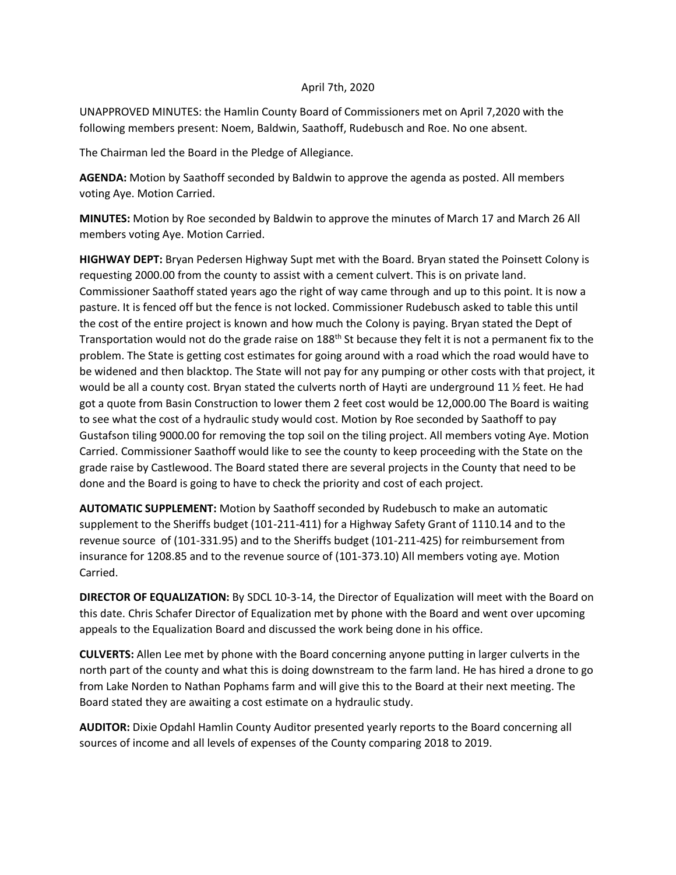## April 7th, 2020

UNAPPROVED MINUTES: the Hamlin County Board of Commissioners met on April 7,2020 with the following members present: Noem, Baldwin, Saathoff, Rudebusch and Roe. No one absent.

The Chairman led the Board in the Pledge of Allegiance.

**AGENDA:** Motion by Saathoff seconded by Baldwin to approve the agenda as posted. All members voting Aye. Motion Carried.

**MINUTES:** Motion by Roe seconded by Baldwin to approve the minutes of March 17 and March 26 All members voting Aye. Motion Carried.

**HIGHWAY DEPT:** Bryan Pedersen Highway Supt met with the Board. Bryan stated the Poinsett Colony is requesting 2000.00 from the county to assist with a cement culvert. This is on private land. Commissioner Saathoff stated years ago the right of way came through and up to this point. It is now a pasture. It is fenced off but the fence is not locked. Commissioner Rudebusch asked to table this until the cost of the entire project is known and how much the Colony is paying. Bryan stated the Dept of Transportation would not do the grade raise on 188<sup>th</sup> St because they felt it is not a permanent fix to the problem. The State is getting cost estimates for going around with a road which the road would have to be widened and then blacktop. The State will not pay for any pumping or other costs with that project, it would be all a county cost. Bryan stated the culverts north of Hayti are underground 11 % feet. He had got a quote from Basin Construction to lower them 2 feet cost would be 12,000.00 The Board is waiting to see what the cost of a hydraulic study would cost. Motion by Roe seconded by Saathoff to pay Gustafson tiling 9000.00 for removing the top soil on the tiling project. All members voting Aye. Motion Carried. Commissioner Saathoff would like to see the county to keep proceeding with the State on the grade raise by Castlewood. The Board stated there are several projects in the County that need to be done and the Board is going to have to check the priority and cost of each project.

**AUTOMATIC SUPPLEMENT:** Motion by Saathoff seconded by Rudebusch to make an automatic supplement to the Sheriffs budget (101-211-411) for a Highway Safety Grant of 1110.14 and to the revenue source of (101-331.95) and to the Sheriffs budget (101-211-425) for reimbursement from insurance for 1208.85 and to the revenue source of (101-373.10) All members voting aye. Motion Carried.

**DIRECTOR OF EQUALIZATION:** By SDCL 10-3-14, the Director of Equalization will meet with the Board on this date. Chris Schafer Director of Equalization met by phone with the Board and went over upcoming appeals to the Equalization Board and discussed the work being done in his office.

**CULVERTS:** Allen Lee met by phone with the Board concerning anyone putting in larger culverts in the north part of the county and what this is doing downstream to the farm land. He has hired a drone to go from Lake Norden to Nathan Pophams farm and will give this to the Board at their next meeting. The Board stated they are awaiting a cost estimate on a hydraulic study.

**AUDITOR:** Dixie Opdahl Hamlin County Auditor presented yearly reports to the Board concerning all sources of income and all levels of expenses of the County comparing 2018 to 2019.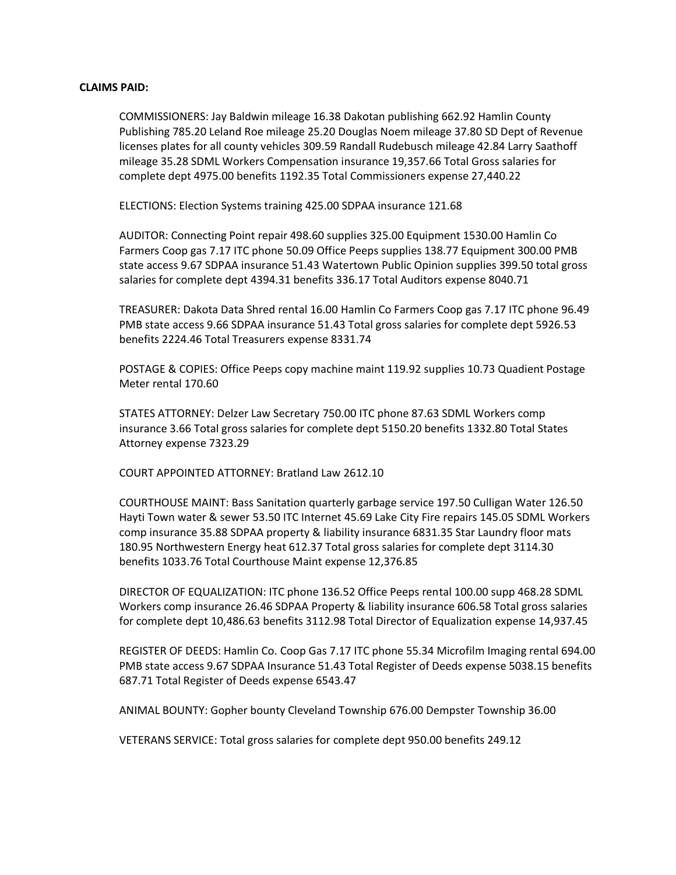## **CLAIMS PAID:**

COMMISSIONERS: Jay Baldwin mileage 16.38 Dakotan publishing 662.92 Hamlin County Publishing 785.20 Leland Roe mileage 25.20 Douglas Noem mileage 37.80 SD Dept of Revenue licenses plates for all county vehicles 309.59 Randall Rudebusch mileage 42.84 Larry Saathoff mileage 35.28 SDML Workers Compensation insurance 19,357.66 Total Gross salaries for complete dept 4975.00 benefits 1192.35 Total Commissioners expense 27,440.22

ELECTIONS: Election Systems training 425.00 SDPAA insurance 121.68

AUDITOR: Connecting Point repair 498.60 supplies 325.00 Equipment 1530.00 Hamlin Co Farmers Coop gas 7.17 ITC phone 50.09 Office Peeps supplies 138.77 Equipment 300.00 PMB state access 9.67 SDPAA insurance 51.43 Watertown Public Opinion supplies 399.50 total gross salaries for complete dept 4394.31 benefits 336.17 Total Auditors expense 8040.71

TREASURER: Dakota Data Shred rental 16.00 Hamlin Co Farmers Coop gas 7.17 ITC phone 96.49 PMB state access 9.66 SDPAA insurance 51.43 Total gross salaries for complete dept 5926.53 benefits 2224.46 Total Treasurers expense 8331.74

POSTAGE & COPIES: Office Peeps copy machine maint 119.92 supplies 10.73 Quadient Postage Meter rental 170.60

STATES ATTORNEY: Delzer Law Secretary 750.00 ITC phone 87.63 SDML Workers comp insurance 3.66 Total gross salaries for complete dept 5150.20 benefits 1332.80 Total States Attorney expense 7323.29

COURT APPOINTED ATTORNEY: Bratland Law 2612.10

COURTHOUSE MAINT: Bass Sanitation quarterly garbage service 197.50 Culligan Water 126.50 Hayti Town water & sewer 53.50 ITC Internet 45.69 Lake City Fire repairs 145.05 SDML Workers comp insurance 35.88 SDPAA property & liability insurance 6831.35 Star Laundry floor mats 180.95 Northwestern Energy heat 612.37 Total gross salaries for complete dept 3114.30 benefits 1033.76 Total Courthouse Maint expense 12,376.85

DIRECTOR OF EQUALIZATION: ITC phone 136.52 Office Peeps rental 100.00 supp 468.28 SDML Workers comp insurance 26.46 SDPAA Property & liability insurance 606.58 Total gross salaries for complete dept 10,486.63 benefits 3112.98 Total Director of Equalization expense 14,937.45

REGISTER OF DEEDS: Hamlin Co. Coop Gas 7.17 ITC phone 55.34 Microfilm Imaging rental 694.00 PMB state access 9.67 SDPAA Insurance 51.43 Total Register of Deeds expense 5038.15 benefits 687.71 Total Register of Deeds expense 6543.47

ANIMAL BOUNTY: Gopher bounty Cleveland Township 676.00 Dempster Township 36.00

VETERANS SERVICE: Total gross salaries for complete dept 950.00 benefits 249.12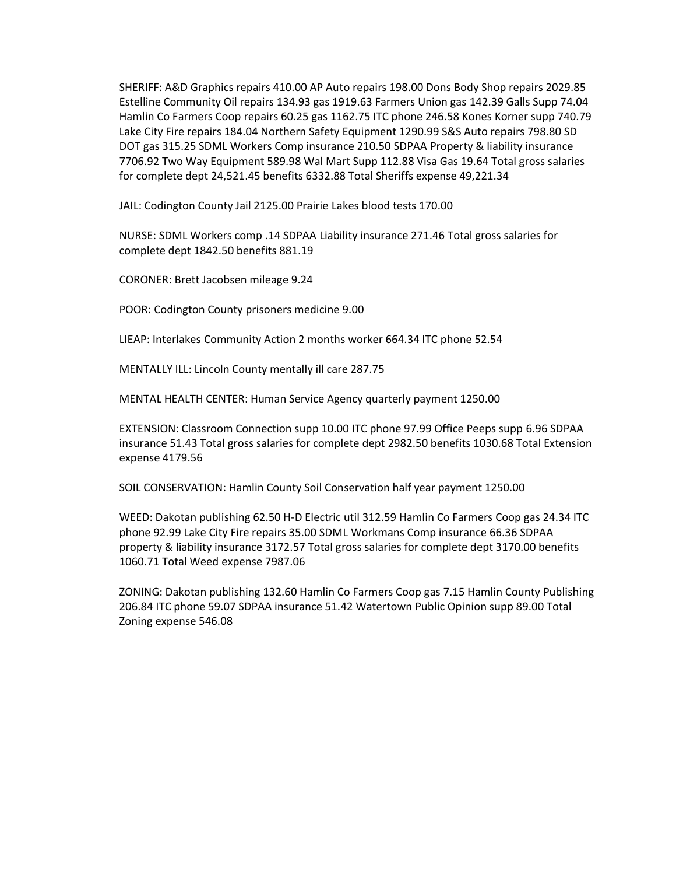SHERIFF: A&D Graphics repairs 410.00 AP Auto repairs 198.00 Dons Body Shop repairs 2029.85 Estelline Community Oil repairs 134.93 gas 1919.63 Farmers Union gas 142.39 Galls Supp 74.04 Hamlin Co Farmers Coop repairs 60.25 gas 1162.75 ITC phone 246.58 Kones Korner supp 740.79 Lake City Fire repairs 184.04 Northern Safety Equipment 1290.99 S&S Auto repairs 798.80 SD DOT gas 315.25 SDML Workers Comp insurance 210.50 SDPAA Property & liability insurance 7706.92 Two Way Equipment 589.98 Wal Mart Supp 112.88 Visa Gas 19.64 Total gross salaries for complete dept 24,521.45 benefits 6332.88 Total Sheriffs expense 49,221.34

JAIL: Codington County Jail 2125.00 Prairie Lakes blood tests 170.00

NURSE: SDML Workers comp .14 SDPAA Liability insurance 271.46 Total gross salaries for complete dept 1842.50 benefits 881.19

CORONER: Brett Jacobsen mileage 9.24

POOR: Codington County prisoners medicine 9.00

LIEAP: Interlakes Community Action 2 months worker 664.34 ITC phone 52.54

MENTALLY ILL: Lincoln County mentally ill care 287.75

MENTAL HEALTH CENTER: Human Service Agency quarterly payment 1250.00

EXTENSION: Classroom Connection supp 10.00 ITC phone 97.99 Office Peeps supp 6.96 SDPAA insurance 51.43 Total gross salaries for complete dept 2982.50 benefits 1030.68 Total Extension expense 4179.56

SOIL CONSERVATION: Hamlin County Soil Conservation half year payment 1250.00

WEED: Dakotan publishing 62.50 H-D Electric util 312.59 Hamlin Co Farmers Coop gas 24.34 ITC phone 92.99 Lake City Fire repairs 35.00 SDML Workmans Comp insurance 66.36 SDPAA property & liability insurance 3172.57 Total gross salaries for complete dept 3170.00 benefits 1060.71 Total Weed expense 7987.06

ZONING: Dakotan publishing 132.60 Hamlin Co Farmers Coop gas 7.15 Hamlin County Publishing 206.84 ITC phone 59.07 SDPAA insurance 51.42 Watertown Public Opinion supp 89.00 Total Zoning expense 546.08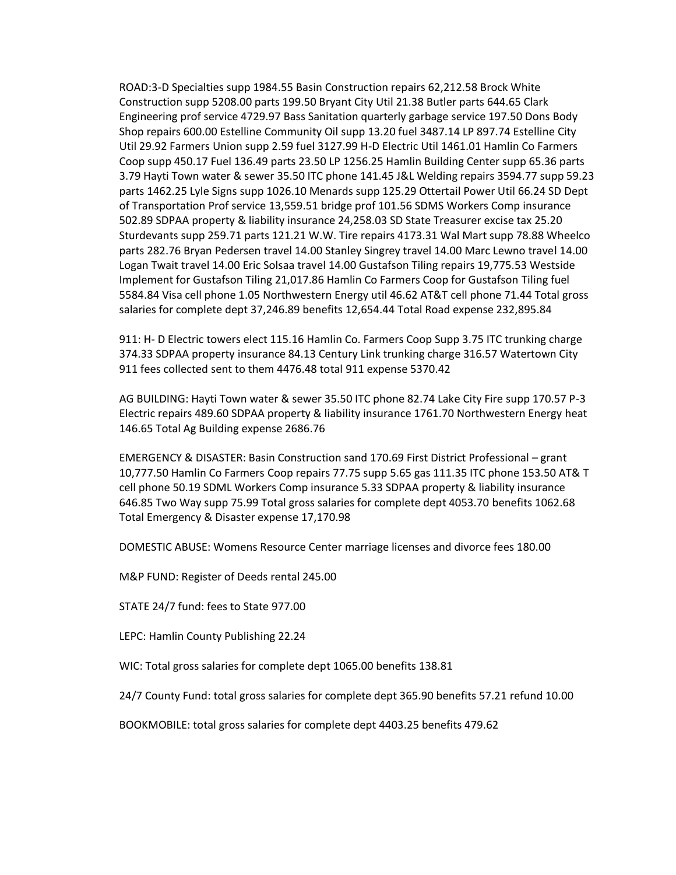ROAD:3-D Specialties supp 1984.55 Basin Construction repairs 62,212.58 Brock White Construction supp 5208.00 parts 199.50 Bryant City Util 21.38 Butler parts 644.65 Clark Engineering prof service 4729.97 Bass Sanitation quarterly garbage service 197.50 Dons Body Shop repairs 600.00 Estelline Community Oil supp 13.20 fuel 3487.14 LP 897.74 Estelline City Util 29.92 Farmers Union supp 2.59 fuel 3127.99 H-D Electric Util 1461.01 Hamlin Co Farmers Coop supp 450.17 Fuel 136.49 parts 23.50 LP 1256.25 Hamlin Building Center supp 65.36 parts 3.79 Hayti Town water & sewer 35.50 ITC phone 141.45 J&L Welding repairs 3594.77 supp 59.23 parts 1462.25 Lyle Signs supp 1026.10 Menards supp 125.29 Ottertail Power Util 66.24 SD Dept of Transportation Prof service 13,559.51 bridge prof 101.56 SDMS Workers Comp insurance 502.89 SDPAA property & liability insurance 24,258.03 SD State Treasurer excise tax 25.20 Sturdevants supp 259.71 parts 121.21 W.W. Tire repairs 4173.31 Wal Mart supp 78.88 Wheelco parts 282.76 Bryan Pedersen travel 14.00 Stanley Singrey travel 14.00 Marc Lewno travel 14.00 Logan Twait travel 14.00 Eric Solsaa travel 14.00 Gustafson Tiling repairs 19,775.53 Westside Implement for Gustafson Tiling 21,017.86 Hamlin Co Farmers Coop for Gustafson Tiling fuel 5584.84 Visa cell phone 1.05 Northwestern Energy util 46.62 AT&T cell phone 71.44 Total gross salaries for complete dept 37,246.89 benefits 12,654.44 Total Road expense 232,895.84

911: H- D Electric towers elect 115.16 Hamlin Co. Farmers Coop Supp 3.75 ITC trunking charge 374.33 SDPAA property insurance 84.13 Century Link trunking charge 316.57 Watertown City 911 fees collected sent to them 4476.48 total 911 expense 5370.42

AG BUILDING: Hayti Town water & sewer 35.50 ITC phone 82.74 Lake City Fire supp 170.57 P-3 Electric repairs 489.60 SDPAA property & liability insurance 1761.70 Northwestern Energy heat 146.65 Total Ag Building expense 2686.76

EMERGENCY & DISASTER: Basin Construction sand 170.69 First District Professional – grant 10,777.50 Hamlin Co Farmers Coop repairs 77.75 supp 5.65 gas 111.35 ITC phone 153.50 AT& T cell phone 50.19 SDML Workers Comp insurance 5.33 SDPAA property & liability insurance 646.85 Two Way supp 75.99 Total gross salaries for complete dept 4053.70 benefits 1062.68 Total Emergency & Disaster expense 17,170.98

DOMESTIC ABUSE: Womens Resource Center marriage licenses and divorce fees 180.00

M&P FUND: Register of Deeds rental 245.00

STATE 24/7 fund: fees to State 977.00

LEPC: Hamlin County Publishing 22.24

WIC: Total gross salaries for complete dept 1065.00 benefits 138.81

24/7 County Fund: total gross salaries for complete dept 365.90 benefits 57.21 refund 10.00

BOOKMOBILE: total gross salaries for complete dept 4403.25 benefits 479.62